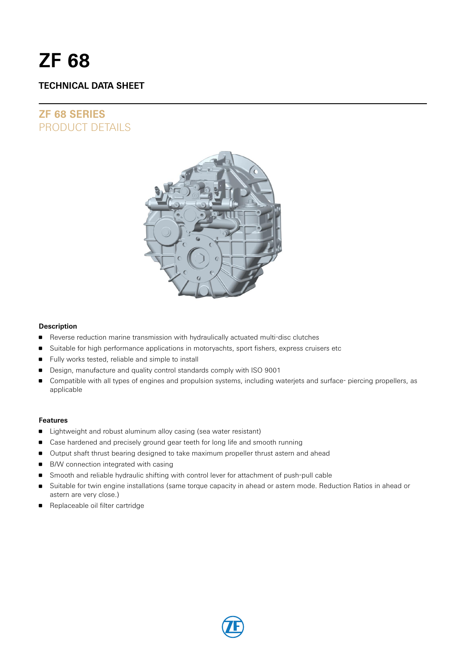# **ZF 68**

# **TECHNICAL DATA SHEET**

# **ZF 68 SERIES** PRODUCT DETAILS



#### **Description**

- **Reverse reduction marine transmission with hydraulically actuated multi-disc clutches**
- **Suitable for high performance applications in motoryachts, sport fishers, express cruisers etc**
- Fully works tested, reliable and simple to install
- Design, manufacture and quality control standards comply with ISO 9001
- Compatible with all types of engines and propulsion systems, including waterjets and surface- piercing propellers, as applicable

#### **Features**

- **I** Lightweight and robust aluminum alloy casing (sea water resistant)
- Case hardened and precisely ground gear teeth for long life and smooth running
- **Output shaft thrust bearing designed to take maximum propeller thrust astern and ahead**
- **B/W connection integrated with casing**
- Smooth and reliable hydraulic shifting with control lever for attachment of push-pull cable
- Suitable for twin engine installations (same torque capacity in ahead or astern mode. Reduction Ratios in ahead or astern are very close.)
- Replaceable oil filter cartridge

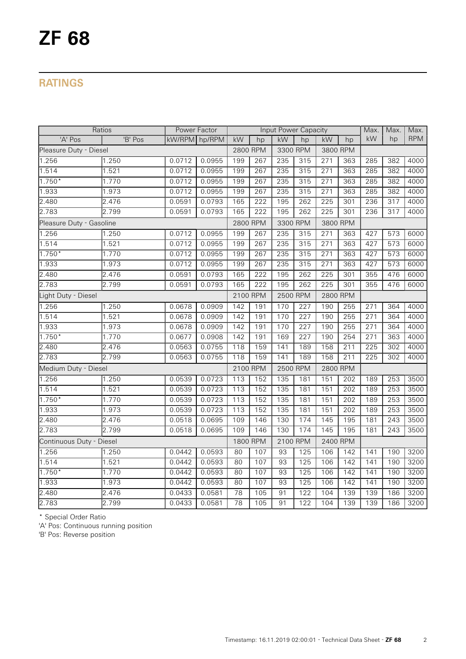# **RATINGS**

| Ratios                   |         | Power Factor  |          |          |                  | Input Power Capacity |          |          |     | Max.             | Max.             | Max.       |
|--------------------------|---------|---------------|----------|----------|------------------|----------------------|----------|----------|-----|------------------|------------------|------------|
| 'A' Pos                  | 'B' Pos | kW/RPM hp/RPM |          | kW       | hp               | kW                   | hp       | kW       | hp  | kW               | hp               | <b>RPM</b> |
| Pleasure Duty - Diesel   |         |               | 2800 RPM | 3300 RPM |                  | 3800 RPM             |          |          |     |                  |                  |            |
| 1.256                    | 1.250   | 0.0712        | 0.0955   | 199      | 267              | 235                  | 315      | 271      | 363 | 285              | 382              | 4000       |
| 1.514                    | 1.521   | 0.0712        | 0.0955   | 199      | 267              | 235                  | 315      | 271      | 363 | 285              | 382              | 4000       |
| $1.750*$                 | 1.770   | 0.0712        | 0.0955   | 199      | 267              | 235                  | 315      | 271      | 363 | 285              | 382              | 4000       |
| 1.933                    | 1.973   | 0.0712        | 0.0955   | 199      | 267              | 235                  | 315      | 271      | 363 | 285              | 382              | 4000       |
| 2.480                    | 2.476   | 0.0591        | 0.0793   | 165      | 222              | 195                  | 262      | 225      | 301 | 236              | $\overline{317}$ | 4000       |
| 2.783                    | 2.799   | 0.0591        | 0.0793   | 165      | $\overline{222}$ | 195                  | 262      | 225      | 301 | 236              | 317              | 4000       |
| Pleasure Duty - Gasoline |         |               |          |          | 2800 RPM         | 3300 RPM             |          | 3800 RPM |     |                  |                  |            |
| 1.256                    | 1.250   | 0.0712        | 0.0955   | 199      | 267              | 235                  | 315      | 271      | 363 | 427              | 573              | 6000       |
| 1.514                    | 1.521   | 0.0712        | 0.0955   | 199      | 267              | 235                  | 315      | 271      | 363 | 427              | 573              | 6000       |
| $1.750*$                 | 1.770   | 0.0712        | 0.0955   | 199      | 267              | 235                  | 315      | 271      | 363 | 427              | 573              | 6000       |
| 1.933                    | 1.973   | 0.0712        | 0.0955   | 199      | 267              | 235                  | 315      | 271      | 363 | 427              | $\overline{573}$ | 6000       |
| 2.480                    | 2.476   | 0.0591        | 0.0793   | 165      | 222              | 195                  | 262      | 225      | 301 | 355              | 476              | 6000       |
| 2.783                    | 2.799   | 0.0591        | 0.0793   | 165      | $\overline{222}$ | 195                  | 262      | 225      | 301 | 355              | 476              | 6000       |
| Light Duty - Diesel      |         |               |          | 2100 RPM |                  | 2500 RPM             |          | 2800 RPM |     |                  |                  |            |
| 1.256                    | 1.250   | 0.0678        | 0.0909   | 142      | 191              | 170                  | 227      | 190      | 255 | 271              | 364              | 4000       |
| 1.514                    | 1.521   | 0.0678        | 0.0909   | 142      | 191              | 170                  | 227      | 190      | 255 | $\overline{271}$ | 364              | 4000       |
| 1.933                    | 1.973   | 0.0678        | 0.0909   | 142      | 191              | 170                  | 227      | 190      | 255 | $\overline{271}$ | 364              | 4000       |
| $1.750*$                 | 1.770   | 0.0677        | 0.0908   | 142      | 191              | 169                  | 227      | 190      | 254 | 271              | 363              | 4000       |
| 2.480                    | 2.476   | 0.0563        | 0.0755   | 118      | 159              | 141                  | 189      | 158      | 211 | 225              | 302              | 4000       |
| 2.783                    | 2.799   | 0.0563        | 0.0755   | 118      | 159              | 141                  | 189      | 158      | 211 | 225              | 302              | 4000       |
| Medium Duty - Diesel     |         |               |          | 2100 RPM |                  | 2500 RPM             |          | 2800 RPM |     |                  |                  |            |
| 1.256                    | 1.250   | 0.0539        | 0.0723   | 113      | 152              | 135                  | 181      | 151      | 202 | 189              | 253              | 3500       |
| 1.514                    | 1.521   | 0.0539        | 0.0723   | 113      | 152              | $\frac{135}{ }$      | 181      | 151      | 202 | 189              | 253              | 3500       |
| $1.750*$                 | 1.770   | 0.0539        | 0.0723   | 113      | 152              | 135                  | 181      | 151      | 202 | 189              | 253              | 3500       |
| 1.933                    | 1.973   | 0.0539        | 0.0723   | 113      | 152              | 135                  | 181      | 151      | 202 | 189              | 253              | 3500       |
| 2.480                    | 2.476   | 0.0518        | 0.0695   | 109      | 146              | 130                  | 174      | 145      | 195 | 181              | 243              | 3500       |
| 2.783                    | 2.799   | 0.0518        | 0.0695   | 109      | 146              | 130                  | 174      | 145      | 195 | 181              | $\overline{243}$ | 3500       |
| Continuous Duty - Diesel |         |               | 1800 RPM |          | 2100 RPM         |                      | 2400 RPM |          |     |                  |                  |            |
| 1.256                    | 1.250   | 0.0442        | 0.0593   | 80       | 107              | $\overline{93}$      | 125      | 106      | 142 | 141              | 190              | 3200       |
| 1.514                    | 1.521   | 0.0442        | 0.0593   | 80       | 107              | 93                   | 125      | 106      | 142 | 141              | 190              | 3200       |
| $1.750*$                 | 1.770   | 0.0442        | 0.0593   | 80       | 107              | 93                   | 125      | 106      | 142 | 141              | 190              | 3200       |
| 1.933                    | 1.973   | 0.0442        | 0.0593   | 80       | 107              | $\overline{93}$      | 125      | 106      | 142 | 141              | 190              | 3200       |
| 2.480                    | 2.476   | 0.0433        | 0.0581   | 78       | 105              | 91                   | 122      | 104      | 139 | 139              | 186              | 3200       |
| 2.783                    | 2.799   | 0.0433        | 0.0581   | 78       | 105              | 91                   | 122      | 104      | 139 | 139              | 186              | 3200       |

\* Special Order Ratio

'A' Pos: Continuous running position

'B' Pos: Reverse position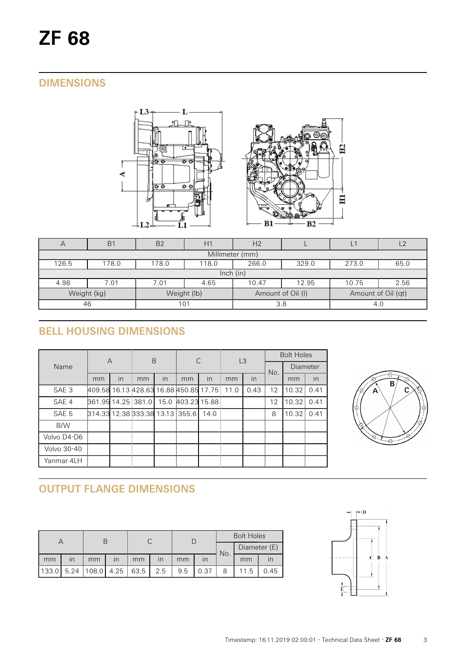# **DIMENSIONS**



| $\overline{A}$  | B <sub>1</sub>                                             | B <sub>2</sub> | H1          | H <sub>2</sub>    |       |                    | $\sqrt{2}$ |  |  |  |  |
|-----------------|------------------------------------------------------------|----------------|-------------|-------------------|-------|--------------------|------------|--|--|--|--|
| Millimeter (mm) |                                                            |                |             |                   |       |                    |            |  |  |  |  |
| 126.5           | 266.0<br>273.0<br>178.0<br>118.0<br>329.0<br>65.0<br>178.0 |                |             |                   |       |                    |            |  |  |  |  |
| lnch (in)       |                                                            |                |             |                   |       |                    |            |  |  |  |  |
| 4.98            | 7.01                                                       | 7.01           | 4.65        | 10.47             | 12.95 | 10.75              | 2.56       |  |  |  |  |
|                 | Weight (kg)                                                |                | Weight (lb) | Amount of Oil (I) |       | Amount of Oil (qt) |            |  |  |  |  |
| 46              |                                                            | 101            |             | 3.8               |       | 4.C                |            |  |  |  |  |

# **BELL HOUSING DIMENSIONS**

|                  | $\overline{A}$                         |                         | B  |                         | C            |      | L3   |      | <b>Bolt Holes</b> |          |      |
|------------------|----------------------------------------|-------------------------|----|-------------------------|--------------|------|------|------|-------------------|----------|------|
| Name             |                                        |                         |    |                         |              |      |      |      | No.               | Diameter |      |
|                  | mm                                     | $\overline{\mathsf{I}}$ | mm | $\overline{\mathsf{I}}$ | mm           | In   | mm   | in   |                   | mm       | in   |
| SAE <sub>3</sub> | 409.58 16.13 428.63 16.88 450.85 17.75 |                         |    |                         |              |      | 11.0 | 0.43 | 12                | 10.32    | 0.41 |
| SAE 4            | 861.95 14.25 381.0                     |                         |    | 15.0                    | 403.23 15.88 |      |      |      | 12                | 10.32    | 0.41 |
| SAE <sub>5</sub> | 814.33 12.38 333.38 13.13 355.6        |                         |    |                         |              | 14.0 |      |      | 8                 | 10.32    | 0.41 |
| B/W              |                                        |                         |    |                         |              |      |      |      |                   |          |      |
| Volvo D4-D6      |                                        |                         |    |                         |              |      |      |      |                   |          |      |
| Volvo 30-40      |                                        |                         |    |                         |              |      |      |      |                   |          |      |
| Yanmar 4LH       |                                        |                         |    |                         |              |      |      |      |                   |          |      |



# **OUTPUT FLANGE DIMENSIONS**

|       |      |                       |                         |    |     |     |      | <b>Bolt Holes</b>   |      |      |  |
|-------|------|-----------------------|-------------------------|----|-----|-----|------|---------------------|------|------|--|
|       |      |                       |                         |    |     |     |      | Diameter (E)<br>No. |      |      |  |
| mm    | ın   | mm                    | $\overline{\mathsf{I}}$ | mm | ın  | mm  |      |                     | mm   |      |  |
| 133.0 | 5.24 | $ 108.0 $ 4.25   63.5 |                         |    | 2.5 | 9.5 | 0.37 |                     | 11.5 | 0.45 |  |